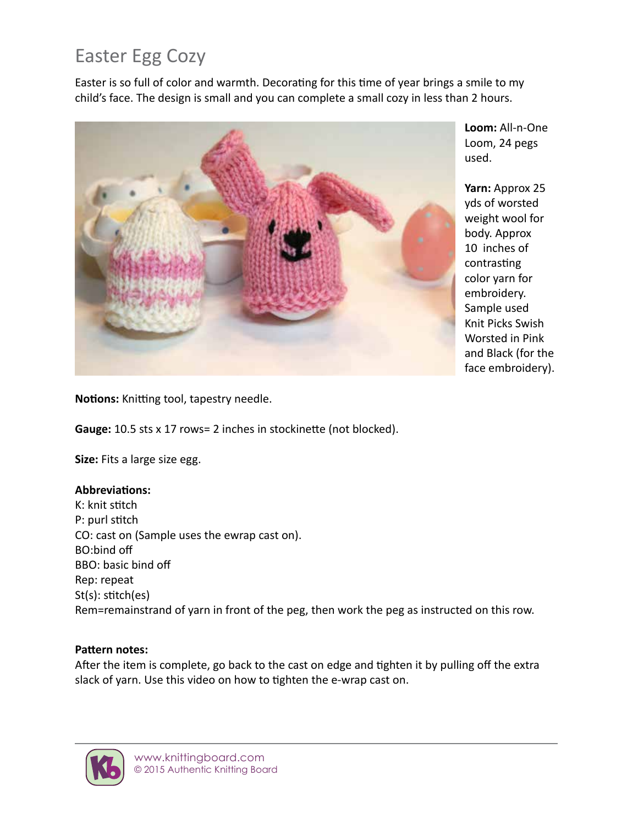# Easter Egg Cozy

Easter is so full of color and warmth. Decorating for this time of year brings a smile to my child's face. The design is small and you can complete a small cozy in less than 2 hours.



**Loom:** All-n-One Loom, 24 pegs used.

**Yarn:** Approx 25 yds of worsted weight wool for body. Approx 10 inches of contrasting color yarn for embroidery. Sample used Knit Picks Swish Worsted in Pink and Black (for the face embroidery).

**Notions:** Knitting tool, tapestry needle.

**Gauge:** 10.5 sts x 17 rows= 2 inches in stockinette (not blocked).

**Size:** Fits a large size egg.

### **Abbreviations:**

K: knit stitch P: purl stitch CO: cast on (Sample uses the ewrap cast on). BO:bind off BBO: basic bind off Rep: repeat St(s): stitch(es) Rem=remainstrand of yarn in front of the peg, then work the peg as instructed on this row.

### **Pattern notes:**

After the item is complete, go back to the cast on edge and tighten it by pulling off the extra slack of yarn. Use this video on how to tighten the e-wrap cast on.

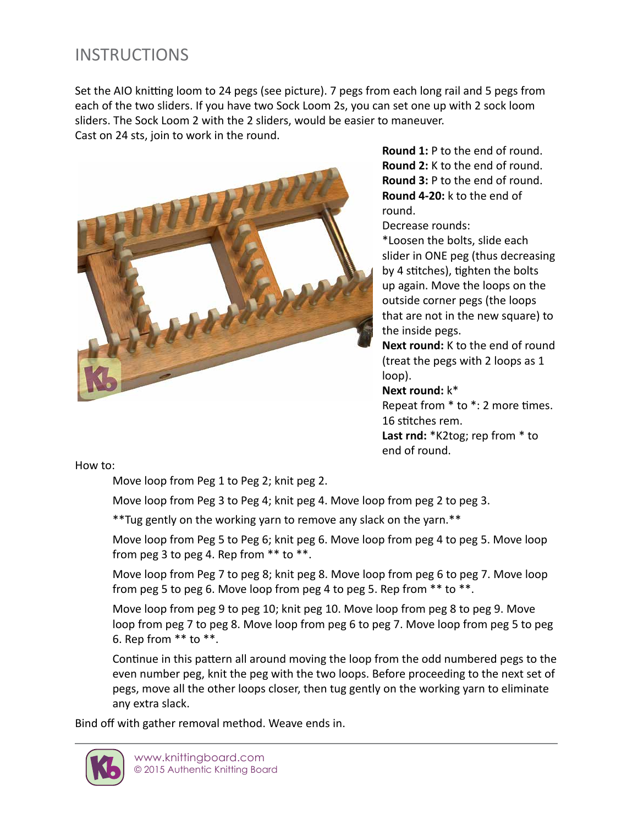## **INSTRUCTIONS**

Set the AIO knitting loom to 24 pegs (see picture). 7 pegs from each long rail and 5 pegs from each of the two sliders. If you have two Sock Loom 2s, you can set one up with 2 sock loom sliders. The Sock Loom 2 with the 2 sliders, would be easier to maneuver. Cast on 24 sts, join to work in the round.



**Round 1:** P to the end of round. **Round 2:** K to the end of round. **Round 3:** P to the end of round. **Round 4-20:** k to the end of round.

Decrease rounds:

\*Loosen the bolts, slide each slider in ONE peg (thus decreasing by 4 stitches), tighten the bolts up again. Move the loops on the outside corner pegs (the loops that are not in the new square) to the inside pegs.

**Next round:** K to the end of round (treat the pegs with 2 loops as 1 loop).

#### **Next round:** k\*

Repeat from \* to \*: 2 more times. 16 stitches rem. **Last rnd:** \*K2tog; rep from \* to end of round.

How to:

Move loop from Peg 1 to Peg 2; knit peg 2.

Move loop from Peg 3 to Peg 4; knit peg 4. Move loop from peg 2 to peg 3.

\*\*Tug gently on the working yarn to remove any slack on the yarn.\*\*

Move loop from Peg 5 to Peg 6; knit peg 6. Move loop from peg 4 to peg 5. Move loop from peg 3 to peg 4. Rep from  $**$  to  $**$ .

Move loop from Peg 7 to peg 8; knit peg 8. Move loop from peg 6 to peg 7. Move loop from peg 5 to peg 6. Move loop from peg 4 to peg 5. Rep from \*\* to \*\*.

Move loop from peg 9 to peg 10; knit peg 10. Move loop from peg 8 to peg 9. Move loop from peg 7 to peg 8. Move loop from peg 6 to peg 7. Move loop from peg 5 to peg 6. Rep from \*\* to \*\*.

Continue in this pattern all around moving the loop from the odd numbered pegs to the even number peg, knit the peg with the two loops. Before proceeding to the next set of pegs, move all the other loops closer, then tug gently on the working yarn to eliminate any extra slack.

Bind off with gather removal method. Weave ends in.